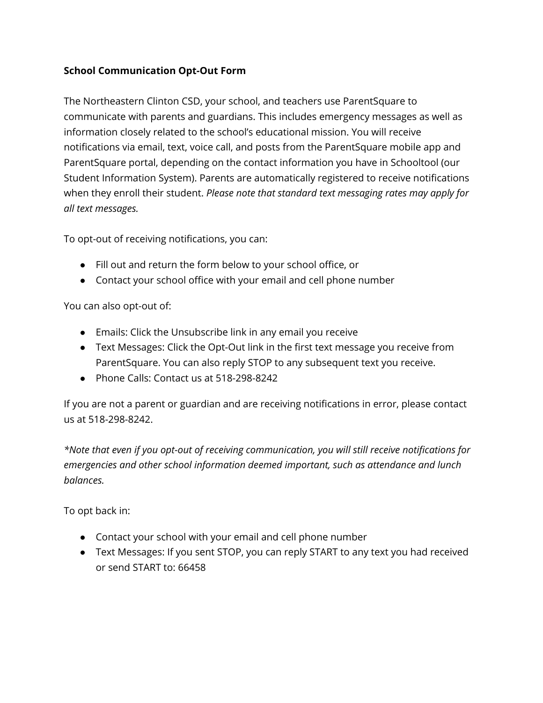## **School Communication Opt-Out Form**

The Northeastern Clinton CSD, your school, and teachers use ParentSquare to communicate with parents and guardians. This includes emergency messages as well as information closely related to the school's educational mission. You will receive notifications via email, text, voice call, and posts from the ParentSquare mobile app and ParentSquare portal, depending on the contact information you have in Schooltool (our Student Information System). Parents are automatically registered to receive notifications when they enroll their student. *Please note that standard text messaging rates may apply for all text messages.*

To opt-out of receiving notifications, you can:

- Fill out and return the form below to your school office, or
- Contact your school office with your email and cell phone number

You can also opt-out of:

- Emails: Click the Unsubscribe link in any email you receive
- Text Messages: Click the Opt-Out link in the first text message you receive from ParentSquare. You can also reply STOP to any subsequent text you receive.
- Phone Calls: Contact us at 518-298-8242

If you are not a parent or guardian and are receiving notifications in error, please contact us at 518-298-8242.

*\*Note that even if you opt-out of receiving communication, you will still receive notifications for emergencies and other school information deemed important, such as attendance and lunch balances.*

To opt back in:

- Contact your school with your email and cell phone number
- Text Messages: If you sent STOP, you can reply START to any text you had received or send START to: 66458